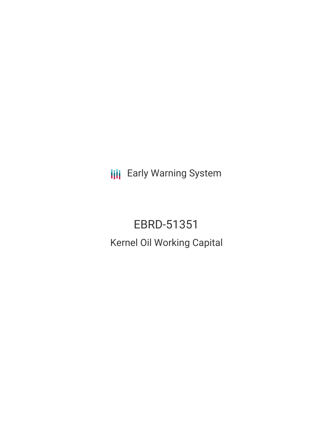**III** Early Warning System

EBRD-51351 Kernel Oil Working Capital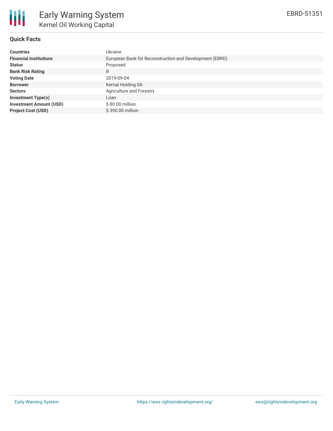

## **Quick Facts**

| <b>Countries</b>               | Ukraine                                                 |
|--------------------------------|---------------------------------------------------------|
| <b>Financial Institutions</b>  | European Bank for Reconstruction and Development (EBRD) |
| <b>Status</b>                  | Proposed                                                |
| <b>Bank Risk Rating</b>        | B                                                       |
| <b>Voting Date</b>             | 2019-09-04                                              |
| <b>Borrower</b>                | Kernal Holding SA                                       |
| <b>Sectors</b>                 | Agriculture and Forestry                                |
| <b>Investment Type(s)</b>      | Loan                                                    |
| <b>Investment Amount (USD)</b> | $$80.00$ million                                        |
| <b>Project Cost (USD)</b>      | \$390.00 million                                        |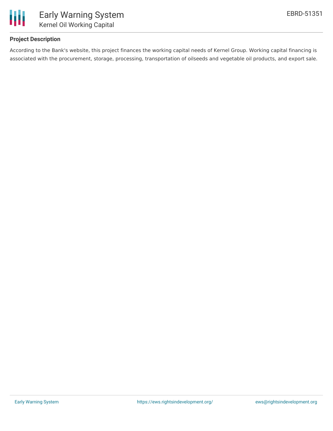

## **Project Description**

According to the Bank's website, this project finances the working capital needs of Kernel Group. Working capital financing is associated with the procurement, storage, processing, transportation of oilseeds and vegetable oil products, and export sale.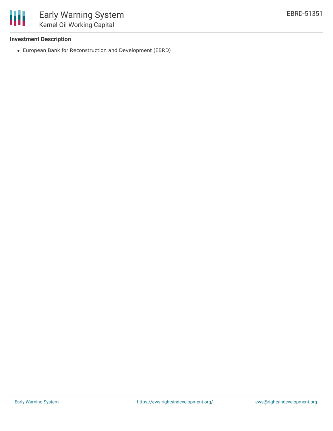

## **Investment Description**

European Bank for Reconstruction and Development (EBRD)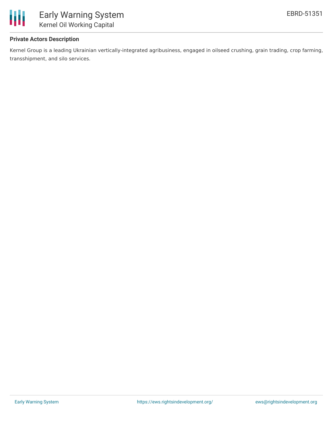

## **Private Actors Description**

Kernel Group is a leading Ukrainian vertically-integrated agribusiness, engaged in oilseed crushing, grain trading, crop farming, transshipment, and silo services.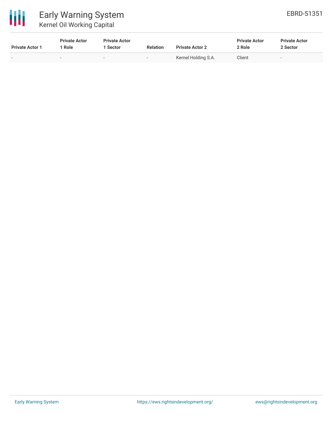

# Early Warning System Kernel Oil Working Capital

| <b>Private Actor 1</b> | <b>Private Actor</b><br>Role | <b>Private Actor</b><br><b>Sector</b> | <b>Relation</b> | <b>Private Actor 2</b> | <b>Private Actor</b><br>2 Role | <b>Private Actor</b><br>2 Sector |
|------------------------|------------------------------|---------------------------------------|-----------------|------------------------|--------------------------------|----------------------------------|
|                        |                              | $\overline{\phantom{0}}$              | . .             | Kernel Holding S.A.    | Client                         | $\overline{\phantom{a}}$         |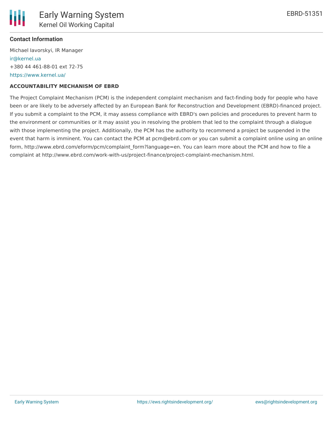

### **Contact Information**

Michael Iavorskyi, IR Manager [ir@kernel.ua](mailto:ir@kernel.ua) +380 44 461-88-01 ext 72-75 <https://www.kernel.ua/>

#### **ACCOUNTABILITY MECHANISM OF EBRD**

The Project Complaint Mechanism (PCM) is the independent complaint mechanism and fact-finding body for people who have been or are likely to be adversely affected by an European Bank for Reconstruction and Development (EBRD)-financed project. If you submit a complaint to the PCM, it may assess compliance with EBRD's own policies and procedures to prevent harm to the environment or communities or it may assist you in resolving the problem that led to the complaint through a dialogue with those implementing the project. Additionally, the PCM has the authority to recommend a project be suspended in the event that harm is imminent. You can contact the PCM at pcm@ebrd.com or you can submit a complaint online using an online form, http://www.ebrd.com/eform/pcm/complaint form?language=en. You can learn more about the PCM and how to file a complaint at http://www.ebrd.com/work-with-us/project-finance/project-complaint-mechanism.html.